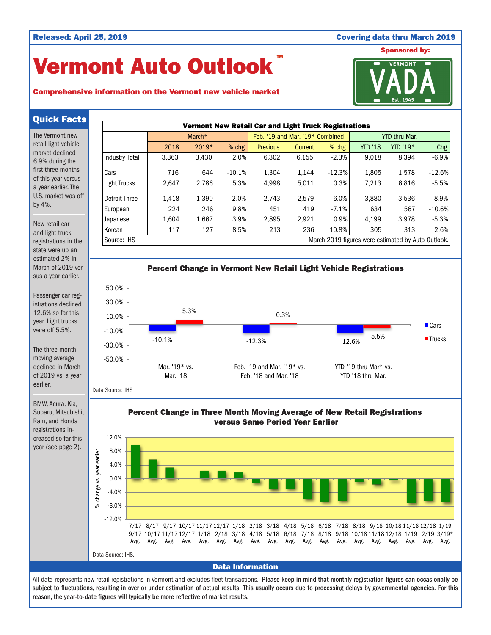## Released: April 25, 2019 Covering data thru March 2019

# Vermont Auto Outlook TM

## Comprehensive information on the Vermont new vehicle market



Quick Facts

The Vermont new retail light vehicle market declined 6.9% during the first three months of this year versus a year earlier. The U.S. market was off by 4%.

New retail car and light truck registrations in the state were up an estimated 2% in March of 2019 versus a year earlier.

Passenger car registrations declined 12.6% so far this year. Light trucks were off 5.5%.

The three month moving average declined in March of 2019 vs. a year earlier.

BMW, Acura, Kia, Subaru, Mitsubishi, Ram, and Honda registrations increased so far this year (see page 2).





Percent Change in Three Month Moving Average of New Retail Registrations versus Same Period Year Earlier



Data Information

All data represents new retail registrations in Vermont and excludes fleet transactions. Please keep in mind that monthly registration figures can occasionally be subject to fluctuations, resulting in over or under estimation of actual results. This usually occurs due to processing delays by governmental agencies. For this reason, the year-to-date figures will typically be more reflective of market results.